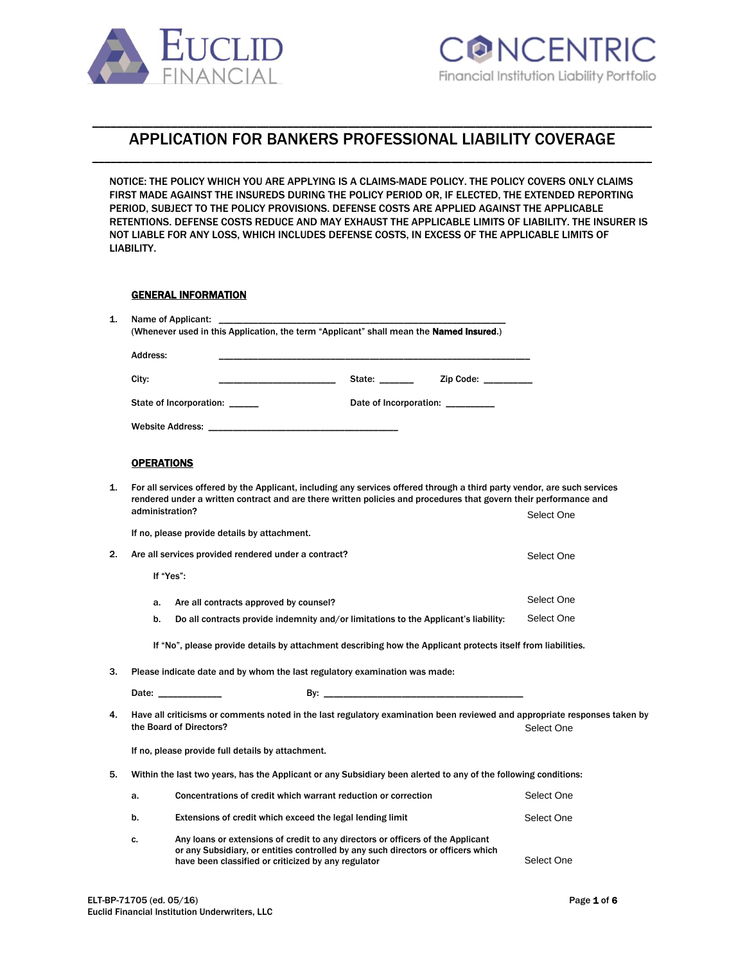

# \_\_\_\_\_\_\_\_\_\_\_\_\_\_\_\_\_\_\_\_\_\_\_\_\_\_\_\_\_\_\_\_\_\_\_\_\_\_\_\_\_\_\_\_\_\_\_\_\_\_\_\_\_\_\_\_\_\_\_\_\_\_\_\_\_\_\_\_\_\_\_\_\_\_\_\_\_\_\_\_\_\_\_\_\_\_\_\_\_\_\_\_ APPLICATION FOR BANKERS PROFESSIONAL LIABILITY COVERAGE \_\_\_\_\_\_\_\_\_\_\_\_\_\_\_\_\_\_\_\_\_\_\_\_\_\_\_\_\_\_\_\_\_\_\_\_\_\_\_\_\_\_\_\_\_\_\_\_\_\_\_\_\_\_\_\_\_\_\_\_\_\_\_\_\_\_\_\_\_\_\_\_\_\_\_\_\_\_\_\_\_\_\_\_\_\_\_\_\_\_\_\_

NOTICE: THE POLICY WHICH YOU ARE APPLYING IS A CLAIMS-MADE POLICY. THE POLICY COVERS ONLY CLAIMS FIRST MADE AGAINST THE INSUREDS DURING THE POLICY PERIOD OR, IF ELECTED, THE EXTENDED REPORTING PERIOD, SUBJECT TO THE POLICY PROVISIONS. DEFENSE COSTS ARE APPLIED AGAINST THE APPLICABLE RETENTIONS. DEFENSE COSTS REDUCE AND MAY EXHAUST THE APPLICABLE LIMITS OF LIABILITY. THE INSURER IS NOT LIABLE FOR ANY LOSS, WHICH INCLUDES DEFENSE COSTS, IN EXCESS OF THE APPLICABLE LIMITS OF LIABILITY.

# GENERAL INFORMATION

| 1. | Name of Applicant:<br>(Whenever used in this Application, the term "Applicant" shall mean the <b>Named Insured.</b> )                                                                                                                          |                                  |                     |            |
|----|------------------------------------------------------------------------------------------------------------------------------------------------------------------------------------------------------------------------------------------------|----------------------------------|---------------------|------------|
|    | Address:                                                                                                                                                                                                                                       |                                  |                     |            |
|    | City:                                                                                                                                                                                                                                          | State: _______                   | Zip Code: _________ |            |
|    | State of Incorporation: _____                                                                                                                                                                                                                  | Date of Incorporation: _________ |                     |            |
|    |                                                                                                                                                                                                                                                |                                  |                     |            |
|    | <b>OPERATIONS</b>                                                                                                                                                                                                                              |                                  |                     |            |
| 1. | For all services offered by the Applicant, including any services offered through a third party vendor, are such services<br>rendered under a written contract and are there written policies and procedures that govern their performance and |                                  |                     |            |
|    | administration?                                                                                                                                                                                                                                |                                  |                     | Select One |
|    | If no, please provide details by attachment.                                                                                                                                                                                                   |                                  |                     |            |
| 2. | Are all services provided rendered under a contract?                                                                                                                                                                                           |                                  |                     | Select One |
|    | If "Yes":                                                                                                                                                                                                                                      |                                  |                     |            |
|    | Are all contracts approved by counsel?<br>a.                                                                                                                                                                                                   |                                  |                     | Select One |
|    | b.<br>Do all contracts provide indemnity and/or limitations to the Applicant's liability:                                                                                                                                                      |                                  |                     | Select One |
|    | If "No", please provide details by attachment describing how the Applicant protects itself from liabilities.                                                                                                                                   |                                  |                     |            |
| 3. | Please indicate date and by whom the last regulatory examination was made:                                                                                                                                                                     |                                  |                     |            |
|    | Date: _____________                                                                                                                                                                                                                            |                                  |                     |            |
| 4. | Have all criticisms or comments noted in the last regulatory examination been reviewed and appropriate responses taken by<br>the Board of Directors?                                                                                           |                                  |                     | Select One |
|    | If no, please provide full details by attachment.                                                                                                                                                                                              |                                  |                     |            |
| 5. | Within the last two years, has the Applicant or any Subsidiary been alerted to any of the following conditions:                                                                                                                                |                                  |                     |            |
|    | Concentrations of credit which warrant reduction or correction<br>a.                                                                                                                                                                           |                                  |                     | Select One |
|    | b.<br>Extensions of credit which exceed the legal lending limit                                                                                                                                                                                |                                  |                     | Select One |
|    | Any loans or extensions of credit to any directors or officers of the Applicant<br>c.<br>or any Subsidiary, or entities controlled by any such directors or officers which<br>have been classified or criticized by any regulator              |                                  |                     | Select One |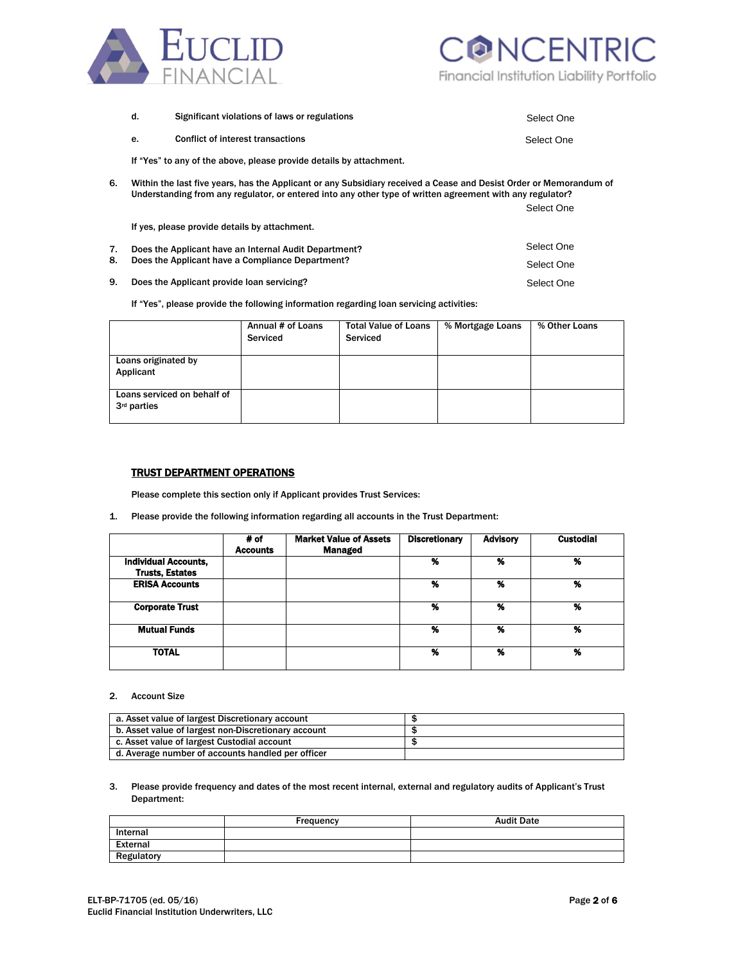



|    | d. | Significant violations of laws or regulations                                                                                                                                                                                   | Select One |  |  |  |
|----|----|---------------------------------------------------------------------------------------------------------------------------------------------------------------------------------------------------------------------------------|------------|--|--|--|
|    | е. | <b>Conflict of interest transactions</b>                                                                                                                                                                                        | Select One |  |  |  |
|    |    | If "Yes" to any of the above, please provide details by attachment.                                                                                                                                                             |            |  |  |  |
| 6. |    | Within the last five years, has the Applicant or any Subsidiary received a Cease and Desist Order or Memorandum of<br>Understanding from any regulator, or entered into any other type of written agreement with any regulator? |            |  |  |  |
|    |    |                                                                                                                                                                                                                                 | Select One |  |  |  |
|    |    | If yes, please provide details by attachment.                                                                                                                                                                                   |            |  |  |  |
| 7. |    | Does the Applicant have an Internal Audit Department?                                                                                                                                                                           | Select One |  |  |  |
| 8. |    | Does the Applicant have a Compliance Department?                                                                                                                                                                                | Select One |  |  |  |
| 9. |    | Does the Applicant provide loan servicing?                                                                                                                                                                                      | Select One |  |  |  |

If "Yes", please provide the following information regarding loan servicing activities:

|                                                        | Annual # of Loans<br>Serviced | <b>Total Value of Loans</b><br>Serviced | % Mortgage Loans | % Other Loans |
|--------------------------------------------------------|-------------------------------|-----------------------------------------|------------------|---------------|
| Loans originated by<br>Applicant                       |                               |                                         |                  |               |
| Loans serviced on behalf of<br>3 <sup>rd</sup> parties |                               |                                         |                  |               |

# TRUST DEPARTMENT OPERATIONS

Please complete this section only if Applicant provides Trust Services:

1. Please provide the following information regarding all accounts in the Trust Department:

|                             | # of<br><b>Accounts</b> | <b>Market Value of Assets</b><br>Managed | <b>Discretionary</b> | <b>Advisory</b> | <b>Custodial</b> |
|-----------------------------|-------------------------|------------------------------------------|----------------------|-----------------|------------------|
| <b>Individual Accounts,</b> |                         |                                          | %                    | %               | %                |
| <b>Trusts, Estates</b>      |                         |                                          |                      |                 |                  |
| <b>ERISA Accounts</b>       |                         |                                          | %                    | %               | %                |
|                             |                         |                                          |                      |                 |                  |
| <b>Corporate Trust</b>      |                         |                                          | %                    | %               | %                |
|                             |                         |                                          |                      |                 |                  |
| <b>Mutual Funds</b>         |                         |                                          | %                    | %               | %                |
|                             |                         |                                          |                      |                 |                  |
| <b>TOTAL</b>                |                         |                                          | %                    | %               | %                |
|                             |                         |                                          |                      |                 |                  |

#### 2. Account Size

| a. Asset value of largest Discretionary account     |  |
|-----------------------------------------------------|--|
| b. Asset value of largest non-Discretionary account |  |
| c. Asset value of largest Custodial account         |  |
| d. Average number of accounts handled per officer   |  |

#### 3. Please provide frequency and dates of the most recent internal, external and regulatory audits of Applicant's Trust Department:

|            | Frequency | <b>Audit Date</b> |
|------------|-----------|-------------------|
| Internal   |           |                   |
| External   |           |                   |
| Regulatory |           |                   |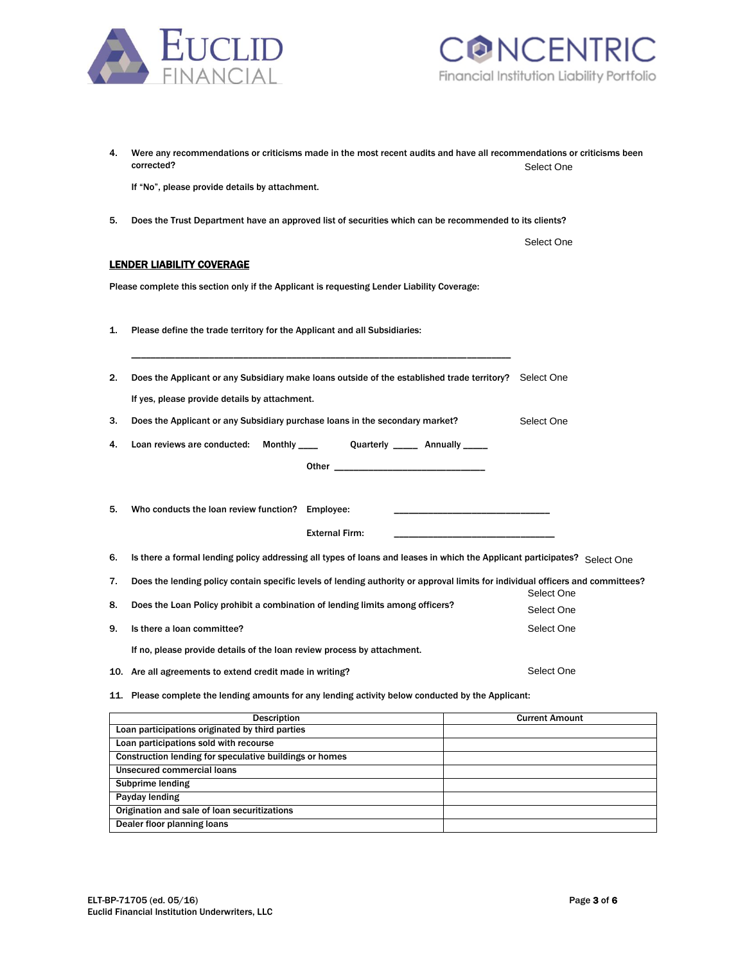



| 4. | Were any recommendations or criticisms made in the most recent audits and have all recommendations or criticisms been<br>corrected? | Select One               |  |
|----|-------------------------------------------------------------------------------------------------------------------------------------|--------------------------|--|
|    | If "No", please provide details by attachment.                                                                                      |                          |  |
| 5. | Does the Trust Department have an approved list of securities which can be recommended to its clients?                              |                          |  |
|    |                                                                                                                                     | Select One               |  |
|    | <b>LENDER LIABILITY COVERAGE</b>                                                                                                    |                          |  |
|    | Please complete this section only if the Applicant is requesting Lender Liability Coverage:                                         |                          |  |
| 1. | Please define the trade territory for the Applicant and all Subsidiaries:                                                           |                          |  |
| 2. | Does the Applicant or any Subsidiary make loans outside of the established trade territory? Select One                              |                          |  |
|    | If yes, please provide details by attachment.                                                                                       |                          |  |
| З. | Does the Applicant or any Subsidiary purchase loans in the secondary market?                                                        | Select One               |  |
| 4. | Quarterly ______ Annually _____<br>Loan reviews are conducted:<br>Monthly ____                                                      |                          |  |
|    |                                                                                                                                     |                          |  |
| 5. | Who conducts the loan review function? Employee:                                                                                    |                          |  |
|    | <b>External Firm:</b>                                                                                                               |                          |  |
| 6. | Is there a formal lending policy addressing all types of loans and leases in which the Applicant participates? Select One           |                          |  |
| 7. | Does the lending policy contain specific levels of lending authority or approval limits for individual officers and committees?     |                          |  |
| 8. | Does the Loan Policy prohibit a combination of lending limits among officers?                                                       | Select One<br>Select One |  |
| 9. | Is there a loan committee?                                                                                                          | Select One               |  |
|    | If no, please provide details of the loan review process by attachment.                                                             |                          |  |
|    |                                                                                                                                     |                          |  |
|    | 10. Are all agreements to extend credit made in writing?                                                                            | Select One               |  |
|    | 11. Please complete the lending amounts for any lending activity below conducted by the Applicant:                                  |                          |  |

| <b>Description</b>                                      | <b>Current Amount</b> |
|---------------------------------------------------------|-----------------------|
| Loan participations originated by third parties         |                       |
| Loan participations sold with recourse                  |                       |
| Construction lending for speculative buildings or homes |                       |
| Unsecured commercial loans                              |                       |
| Subprime lending                                        |                       |
| Payday lending                                          |                       |
| Origination and sale of loan securitizations            |                       |
| Dealer floor planning loans                             |                       |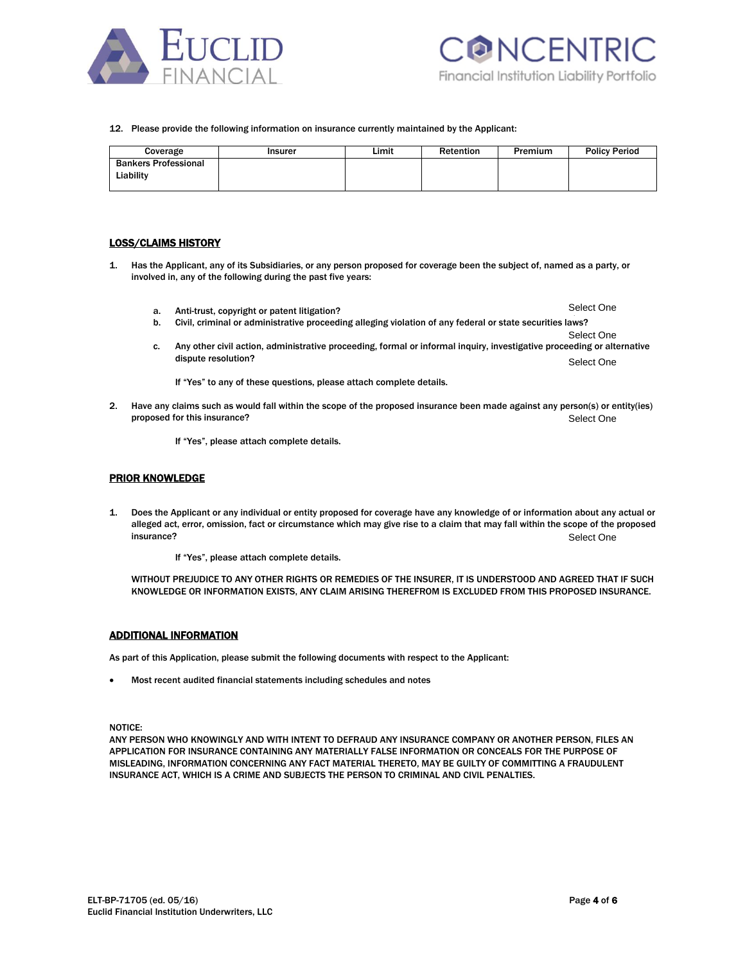



#### 12. Please provide the following information on insurance currently maintained by the Applicant:

| Coverage                                 | Insurer | Limit | Retention | Premium | <b>Policy Period</b> |
|------------------------------------------|---------|-------|-----------|---------|----------------------|
| <b>Bankers Professional</b><br>Liability |         |       |           |         |                      |

# LOSS/CLAIMS HISTORY

- 1. Has the Applicant, any of its Subsidiaries, or any person proposed for coverage been the subject of, named as a party, or involved in, any of the following during the past five years:
	- a. Anti-trust, copyright or patent litigation? Select One
	- b. Civil, criminal or administrative proceeding alleging violation of any federal or state securities laws?
	- Select One c. Any other civil action, administrative proceeding, formal or informal inquiry, investigative proceeding or alternative dispute resolution? Select One

If "Yes" to any of these questions, please attach complete details.

2. Have any claims such as would fall within the scope of the proposed insurance been made against any person(s) or entity(ies) proposed for this insurance? Select One

If "Yes", please attach complete details.

### PRIOR KNOWLEDGE

1. Does the Applicant or any individual or entity proposed for coverage have any knowledge of or information about any actual or alleged act, error, omission, fact or circumstance which may give rise to a claim that may fall within the scope of the proposed **insurance?** Sele Select One

If "Yes", please attach complete details.

WITHOUT PREJUDICE TO ANY OTHER RIGHTS OR REMEDIES OF THE INSURER, IT IS UNDERSTOOD AND AGREED THAT IF SUCH KNOWLEDGE OR INFORMATION EXISTS, ANY CLAIM ARISING THEREFROM IS EXCLUDED FROM THIS PROPOSED INSURANCE.

## ADDITIONAL INFORMATION

As part of this Application, please submit the following documents with respect to the Applicant:

Most recent audited financial statements including schedules and notes

NOTICE:

ANY PERSON WHO KNOWINGLY AND WITH INTENT TO DEFRAUD ANY INSURANCE COMPANY OR ANOTHER PERSON, FILES AN APPLICATION FOR INSURANCE CONTAINING ANY MATERIALLY FALSE INFORMATION OR CONCEALS FOR THE PURPOSE OF MISLEADING, INFORMATION CONCERNING ANY FACT MATERIAL THERETO, MAY BE GUILTY OF COMMITTING A FRAUDULENT INSURANCE ACT, WHICH IS A CRIME AND SUBJECTS THE PERSON TO CRIMINAL AND CIVIL PENALTIES.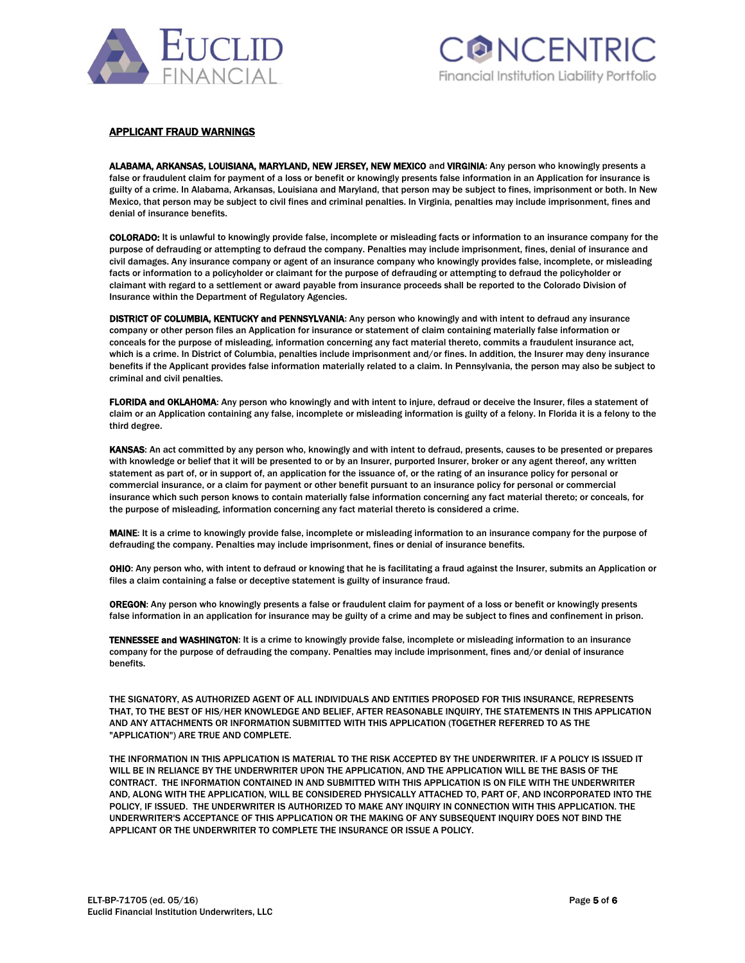



### APPLICANT FRAUD WARNINGS

ALABAMA, ARKANSAS, LOUISIANA, MARYLAND, NEW JERSEY, NEW MEXICO and VIRGINIA: Any person who knowingly presents a false or fraudulent claim for payment of a loss or benefit or knowingly presents false information in an Application for insurance is guilty of a crime. In Alabama, Arkansas, Louisiana and Maryland, that person may be subject to fines, imprisonment or both. In New Mexico, that person may be subject to civil fines and criminal penalties. In Virginia, penalties may include imprisonment, fines and denial of insurance benefits.

COLORADO: It is unlawful to knowingly provide false, incomplete or misleading facts or information to an insurance company for the purpose of defrauding or attempting to defraud the company. Penalties may include imprisonment, fines, denial of insurance and civil damages. Any insurance company or agent of an insurance company who knowingly provides false, incomplete, or misleading facts or information to a policyholder or claimant for the purpose of defrauding or attempting to defraud the policyholder or claimant with regard to a settlement or award payable from insurance proceeds shall be reported to the Colorado Division of Insurance within the Department of Regulatory Agencies.

DISTRICT OF COLUMBIA, KENTUCKY and PENNSYLVANIA: Any person who knowingly and with intent to defraud any insurance company or other person files an Application for insurance or statement of claim containing materially false information or conceals for the purpose of misleading, information concerning any fact material thereto, commits a fraudulent insurance act, which is a crime. In District of Columbia, penalties include imprisonment and/or fines. In addition, the Insurer may deny insurance benefits if the Applicant provides false information materially related to a claim. In Pennsylvania, the person may also be subject to criminal and civil penalties.

FLORIDA and OKLAHOMA: Any person who knowingly and with intent to injure, defraud or deceive the Insurer, files a statement of claim or an Application containing any false, incomplete or misleading information is guilty of a felony. In Florida it is a felony to the third degree.

KANSAS: An act committed by any person who, knowingly and with intent to defraud, presents, causes to be presented or prepares with knowledge or belief that it will be presented to or by an Insurer, purported Insurer, broker or any agent thereof, any written statement as part of, or in support of, an application for the issuance of, or the rating of an insurance policy for personal or commercial insurance, or a claim for payment or other benefit pursuant to an insurance policy for personal or commercial insurance which such person knows to contain materially false information concerning any fact material thereto; or conceals, for the purpose of misleading, information concerning any fact material thereto is considered a crime.

MAINE: It is a crime to knowingly provide false, incomplete or misleading information to an insurance company for the purpose of defrauding the company. Penalties may include imprisonment, fines or denial of insurance benefits.

OHIO: Any person who, with intent to defraud or knowing that he is facilitating a fraud against the Insurer, submits an Application or files a claim containing a false or deceptive statement is guilty of insurance fraud.

OREGON: Any person who knowingly presents a false or fraudulent claim for payment of a loss or benefit or knowingly presents false information in an application for insurance may be guilty of a crime and may be subject to fines and confinement in prison.

TENNESSEE and WASHINGTON: It is a crime to knowingly provide false, incomplete or misleading information to an insurance company for the purpose of defrauding the company. Penalties may include imprisonment, fines and/or denial of insurance benefits.

THE SIGNATORY, AS AUTHORIZED AGENT OF ALL INDIVIDUALS AND ENTITIES PROPOSED FOR THIS INSURANCE, REPRESENTS THAT, TO THE BEST OF HIS/HER KNOWLEDGE AND BELIEF, AFTER REASONABLE INQUIRY, THE STATEMENTS IN THIS APPLICATION AND ANY ATTACHMENTS OR INFORMATION SUBMITTED WITH THIS APPLICATION (TOGETHER REFERRED TO AS THE "APPLICATION") ARE TRUE AND COMPLETE.

THE INFORMATION IN THIS APPLICATION IS MATERIAL TO THE RISK ACCEPTED BY THE UNDERWRITER. IF A POLICY IS ISSUED IT WILL BE IN RELIANCE BY THE UNDERWRITER UPON THE APPLICATION, AND THE APPLICATION WILL BE THE BASIS OF THE CONTRACT. THE INFORMATION CONTAINED IN AND SUBMITTED WITH THIS APPLICATION IS ON FILE WITH THE UNDERWRITER AND, ALONG WITH THE APPLICATION, WILL BE CONSIDERED PHYSICALLY ATTACHED TO, PART OF, AND INCORPORATED INTO THE POLICY, IF ISSUED. THE UNDERWRITER IS AUTHORIZED TO MAKE ANY INQUIRY IN CONNECTION WITH THIS APPLICATION. THE UNDERWRITER'S ACCEPTANCE OF THIS APPLICATION OR THE MAKING OF ANY SUBSEQUENT INQUIRY DOES NOT BIND THE APPLICANT OR THE UNDERWRITER TO COMPLETE THE INSURANCE OR ISSUE A POLICY.